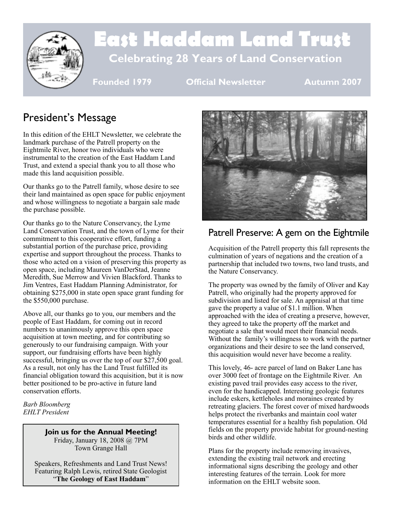

# **East Haddam Land Trust Celebrating 28 Years of Land Conservation**

**Founded 1979 Official Newsletter Autumn 2007**

## President's Message

In this edition of the EHLT Newsletter, we celebrate the landmark purchase of the Patrell property on the Eightmile River, honor two individuals who were instrumental to the creation of the East Haddam Land Trust, and extend a special thank you to all those who made this land acquisition possible.

Our thanks go to the Patrell family, whose desire to see their land maintained as open space for public enjoyment and whose willingness to negotiate a bargain sale made the purchase possible.

Our thanks go to the Nature Conservancy, the Lyme Land Conservation Trust, and the town of Lyme for their commitment to this cooperative effort, funding a substantial portion of the purchase price, providing expertise and support throughout the process. Thanks to those who acted on a vision of preserving this property as open space, including Maureen VanDerStad, Jeanne Meredith, Sue Merrow and Vivien Blackford. Thanks to Jim Ventres, East Haddam Planning Administrator, for obtaining \$275,000 in state open space grant funding for the \$550,000 purchase.

Above all, our thanks go to you, our members and the people of East Haddam, for coming out in record numbers to unanimously approve this open space acquisition at town meeting, and for contributing so generously to our fundraising campaign. With your support, our fundraising efforts have been highly successful, bringing us over the top of our \$27,500 goal. As a result, not only has the Land Trust fulfilled its financial obligation toward this acquisition, but it is now better positioned to be pro-active in future land conservation efforts.

*Barb Bloomberg EHLT President*

#### **Join us for the Annual Meeting!**

Friday, January 18, 2008 @ 7PM Town Grange Hall

Speakers, Refreshments and Land Trust News! Featuring Ralph Lewis, retired State Geologist "**The Geology of East Haddam**"



## Patrell Preserve: A gem on the Eightmile

Acquisition of the Patrell property this fall represents the culmination of years of negations and the creation of a partnership that included two towns, two land trusts, and the Nature Conservancy.

The property was owned by the family of Oliver and Kay Patrell, who originally had the property approved for subdivision and listed for sale. An appraisal at that time gave the property a value of \$1.1 million. When approached with the idea of creating a preserve, however, they agreed to take the property off the market and negotiate a sale that would meet their financial needs. Without the family's willingness to work with the partner organizations and their desire to see the land conserved, this acquisition would never have become a reality.

This lovely, 46- acre parcel of land on Baker Lane has over 3000 feet of frontage on the Eightmile River. An existing paved trail provides easy access to the river, even for the handicapped. Interesting geologic features include eskers, kettleholes and moraines created by retreating glaciers. The forest cover of mixed hardwoods helps protect the riverbanks and maintain cool water temperatures essential for a healthy fish population. Old fields on the property provide habitat for ground-nesting birds and other wildlife.

Plans for the property include removing invasives, extending the existing trail network and erecting informational signs describing the geology and other interesting features of the terrain. Look for more information on the EHLT website soon.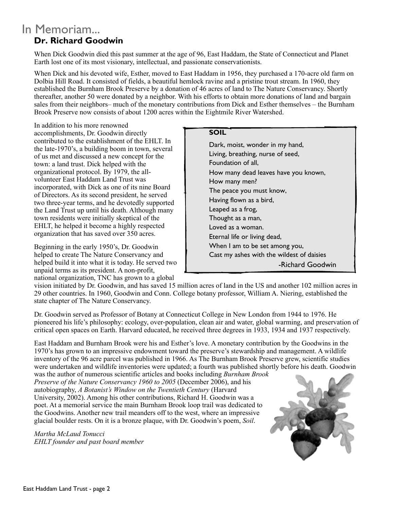### **Dr. Richard Goodwin** In Memoriam...

When Dick Goodwin died this past summer at the age of 96, East Haddam, the State of Connecticut and Planet Earth lost one of its most visionary, intellectual, and passionate conservationists.

When Dick and his devoted wife, Esther, moved to East Haddam in 1956, they purchased a 170-acre old farm on Dolbia Hill Road. It consisted of fields, a beautiful hemlock ravine and a pristine trout stream. In 1960, they established the Burnham Brook Preserve by a donation of 46 acres of land to The Nature Conservancy. Shortly thereafter, another 50 were donated by a neighbor. With his efforts to obtain more donations of land and bargain sales from their neighbors– much of the monetary contributions from Dick and Esther themselves – the Burnham Brook Preserve now consists of about 1200 acres within the Eightmile River Watershed.

In addition to his more renowned accomplishments, Dr. Goodwin directly contributed to the establishment of the EHLT. In the late-1970's, a building boom in town, several of us met and discussed a new concept for the town: a land trust. Dick helped with the organizational protocol. By 1979, the allvolunteer East Haddam Land Trust was incorporated, with Dick as one of its nine Board of Directors. As its second president, he served two three-year terms, and he devotedly supported the Land Trust up until his death. Although many town residents were initially skeptical of the EHLT, he helped it become a highly respected organization that has saved over 350 acres.

Beginning in the early 1950's, Dr. Goodwin helped to create The Nature Conservancy and helped build it into what it is today. He served two unpaid terms as its president. A non-profit, national organization, TNC has grown to a global

**SOIL** Dark, moist, wonder in my hand, Living, breathing, nurse of seed, Foundation of all, How many dead leaves have you known, How many men? The peace you must know, Having flown as a bird, Leaped as a frog, Thought as a man, Loved as a woman. Eternal life or living dead, When I am to be set among you, Cast my ashes with the wildest of daisies -Richard Goodwin

vision initiated by Dr. Goodwin, and has saved 15 million acres of land in the US and another 102 million acres in 29 other countries. In 1960, Goodwin and Conn. College botany professor, William A. Niering, established the state chapter of The Nature Conservancy.

Dr. Goodwin served as Professor of Botany at Connecticut College in New London from 1944 to 1976. He pioneered his life's philosophy: ecology, over-population, clean air and water, global warming, and preservation of critical open spaces on Earth. Harvard educated, he received three degrees in 1933, 1934 and 1937 respectively.

East Haddam and Burnham Brook were his and Esther's love. A monetary contribution by the Goodwins in the 1970's has grown to an impressive endowment toward the preserve's stewardship and management. A wildlife inventory of the 96 acre parcel was published in 1966. As The Burnham Brook Preserve grew, scientific studies were undertaken and wildlife inventories were updated; a fourth was published shortly before his death. Goodwin

was the author of numerous scientific articles and books including *Burnham Brook Preserve of the Nature Conservancy 1960 to 2005* (December 2006), and his autobiography, *A Botanist's Window on the Twentieth Century* (Harvard University, 2002). Among his other contributions, Richard H. Goodwin was a poet. At a memorial service the main Burnham Brook loop trail was dedicated to the Goodwins. Another new trail meanders off to the west, where an impressive glacial boulder rests. On it is a bronze plaque, with Dr. Goodwin's poem, *Soil*.

*Martha McLaud Tonucci EHLT founder and past board member*

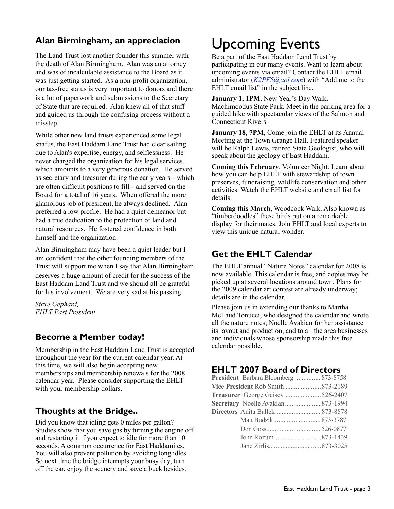#### **Alan Birmingham, an appreciation**

The Land Trust lost another founder this summer with the death of Alan Birmingham. Alan was an attorney and was of incalculable assistance to the Board as it was just getting started. As a non-profit organization, our tax-free status is very important to donors and there is a lot of paperwork and submissions to the Secretary of State that are required. Alan knew all of that stuff and guided us through the confusing process without a misstep.

While other new land trusts experienced some legal snafus, the East Haddam Land Trust had clear sailing due to Alan's expertise, energy, and selflessness. He never charged the organization for his legal services, which amounts to a very generous donation. He served as secretary and treasurer during the early years-- which are often difficult positions to fill-- and served on the Board for a total of 16 years. When offered the more glamorous job of president, he always declined. Alan preferred a low profile. He had a quiet demeanor but had a true dedication to the protection of land and natural resources. He fostered confidence in both himself and the organization.

Alan Birmingham may have been a quiet leader but I am confident that the other founding members of the Trust will support me when I say that Alan Birmingham deserves a huge amount of credit for the success of the East Haddam Land Trust and we should all be grateful for his involvement. We are very sad at his passing.

*Steve Gephard, EHLT Past President*

#### **Become a Member today!**

Membership in the East Haddam Land Trust is accepted throughout the year for the current calendar year. At this time, we will also begin accepting new memberships and membership renewals for the 2008 calendar year. Please consider supporting the EHLT with your membership dollars.

#### **Thoughts at the Bridge..**

Did you know that idling gets 0 miles per gallon? Studies show that you save gas by turning the engine off and restarting it if you expect to idle for more than 10 seconds. A common occurrence for East Haddamites. You will also prevent pollution by avoiding long idles. So next time the bridge interrupts your busy day, turn off the car, enjoy the scenery and save a buck besides.

# Upcoming Events

Be a part of the East Haddam Land Trust by participating in our many events. Want to learn about upcoming events via email? Contact the EHLT email administrator (*[K2PFS@aol.com](mailto:K2PFS@aol.com)*) with "Add me to the EHLT email list" in the subject line.

**January 1, 1PM**, New Year's Day Walk. Machimoodus State Park. Meet in the parking area for a guided hike with spectacular views of the Salmon and Connecticut Rivers.

**January 18, 7PM**, Come join the EHLT at its Annual Meeting at the Town Grange Hall. Featured speaker will be Ralph Lewis, retired State Geologist, who will speak about the geology of East Haddam.

**Coming this February**, Volunteer Night. Learn about how you can help EHLT with stewardship of town preserves, fundraising, wildlife conservation and other activities. Watch the EHLT website and email list for details.

**Coming this March**, Woodcock Walk. Also known as "timberdoodles" these birds put on a remarkable display for their mates. Join EHLT and local experts to view this unique natural wonder.

#### **Get the EHLT Calendar**

The EHLT annual "Nature Notes" calendar for 2008 is now available. This calendar is free, and copies may be picked up at several locations around town. Plans for the 2009 calendar art contest are already underway; details are in the calendar.

Please join us in extending our thanks to Martha McLaud Tonucci, who designed the calendar and wrote all the nature notes, Noelle Avakian for her assistance its layout and production, and to all the area businesses and individuals whose sponsorship made this free calendar possible.

#### **EHLT 2007 Board of Directors**

| President Barbara Bloomberg 873-8758 |  |
|--------------------------------------|--|
| Vice President Rob Smith  873-2189   |  |
| Treasurer George Geisey 526-2407     |  |
| Secretary Noelle Avakian 873-1994    |  |
| Directors Anita Ballek  873-8878     |  |
|                                      |  |
|                                      |  |
|                                      |  |
|                                      |  |